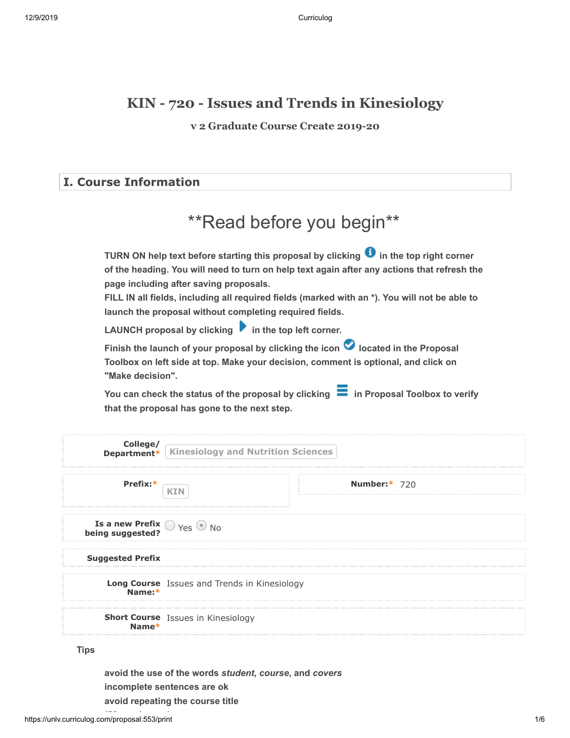# **KIN - 720 - Issues and Trends in Kinesiology**

**v 2 Graduate Course Create 2019-20**

# **I. Course Information**

|  |  |  | <i>**</i> Read before you begin** |
|--|--|--|-----------------------------------|
|--|--|--|-----------------------------------|

TURN ON help text before starting this proposal by clicking **the thata that in the top right corner of the heading. You will need to turn on help text again after any actions that refresh the page including after saving proposals.**

**FILL IN all fields, including all required fields (marked with an \*). You will not be able to launch the proposal without completing required fields.**

**LAUNCH proposal by clicking**  $\bullet$  **in the top left corner.** 

Finish the launch of your proposal by clicking the icon **O** located in the Proposal **Toolbox on left side at top. Make your decision, comment is optional, and click on "Make decision".**

You can check the status of the proposal by clicking **in Proposal Toolbox to verify that the proposal has gone to the next step.**

|                                                          | <b>College/</b><br><b>Department*</b> Kinesiology and Nutrition Sciences |                     |
|----------------------------------------------------------|--------------------------------------------------------------------------|---------------------|
| Prefix:                                                  |                                                                          | <b>Number:* 720</b> |
| <b>Is a new Prefix O</b> Yes $\odot$ No being suggested? |                                                                          |                     |
| <b>Suggested Prefix</b>                                  |                                                                          |                     |
| Name:*                                                   | Long Course Issues and Trends in Kinesiology                             |                     |
| Name*                                                    | <b>Short Course</b> Issues in Kinesiology                                |                     |

**Tips**

**avoid the use of the words** *student***,** *course***, and** *covers* **incomplete sentences are ok avoid repeating the course title**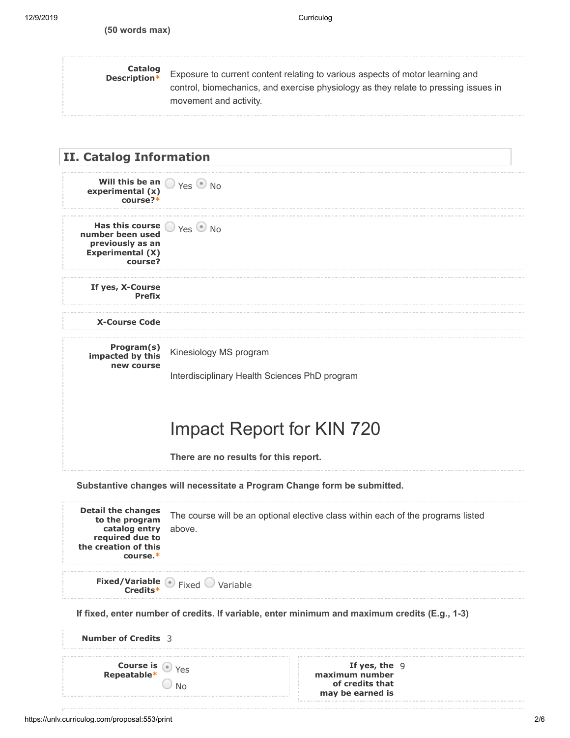# **Catalog**

**Description\*** Exposure to current content relating to various aspects of motor learning and control, biomechanics, and exercise physiology as they relate to pressing issues in movement and activity.



**Substantive changes will necessitate a Program Change form be submitted.**

| <b>Detail the changes</b><br>to the program<br>catalog entry above.<br>required due to<br>the creation of this<br>$course.*$ |                                      | The course will be an optional elective class within each of the programs listed |  |
|------------------------------------------------------------------------------------------------------------------------------|--------------------------------------|----------------------------------------------------------------------------------|--|
|                                                                                                                              | <b>Fixed/Variable</b> Fixed Variable |                                                                                  |  |
| If fixed, enter number of credits. If variable, enter minimum and maximum credits (E.g., 1-3)                                |                                      |                                                                                  |  |
| <b>Number of Credits</b> 3                                                                                                   |                                      |                                                                                  |  |
| <b>Course is</b> $\bullet$ Yes<br><b>Repeatable</b> *                                                                        |                                      | If yes, the $9$<br>maximum number<br>of credits that<br>may be earned is         |  |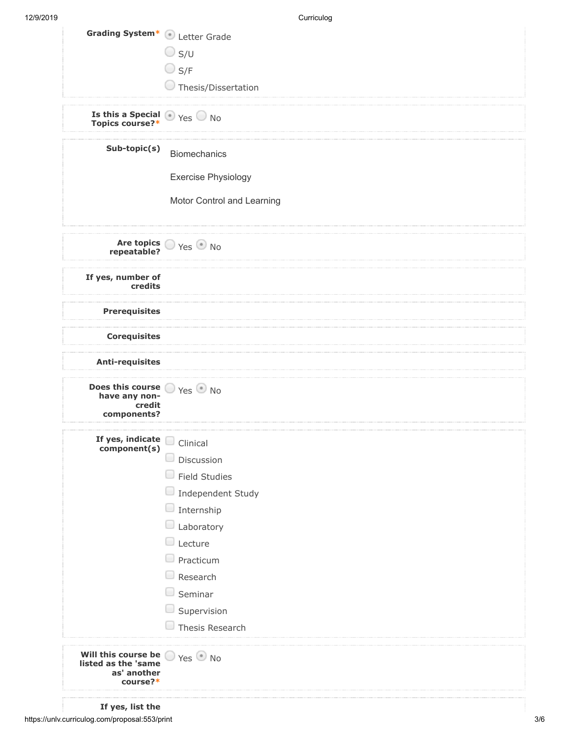| Grading System* Detter Grade                                                                  |                                      |
|-----------------------------------------------------------------------------------------------|--------------------------------------|
|                                                                                               | $\bigcirc$ s/u                       |
|                                                                                               | $\bigcirc$ S/F                       |
|                                                                                               | Thesis/Dissertation                  |
|                                                                                               |                                      |
| <b>Is this a Special <math>\bullet</math></b> Yes $\circledcirc$ No<br><b>Topics course?*</b> |                                      |
| Sub-topic(s)                                                                                  | <b>Biomechanics</b>                  |
|                                                                                               | <b>Exercise Physiology</b>           |
|                                                                                               | Motor Control and Learning           |
|                                                                                               | Are topics Ves No<br>repeatable?     |
| If yes, number of<br>credits                                                                  |                                      |
| <b>Prerequisites</b>                                                                          |                                      |
| <b>Corequisites</b>                                                                           |                                      |
| <b>Anti-requisites</b>                                                                        |                                      |
| Does this course $\bigcirc$ Yes $\bigcirc$ No<br>have any non-<br>credit<br>components?       |                                      |
|                                                                                               |                                      |
| If yes, indicate clinical<br>component(s)                                                     | Discussion                           |
|                                                                                               | <b>Field Studies</b>                 |
|                                                                                               |                                      |
|                                                                                               | Independent Study<br>Internship<br>O |
|                                                                                               | Laboratory                           |
|                                                                                               | Lecture                              |
|                                                                                               | Practicum                            |
|                                                                                               | Research                             |
|                                                                                               | Seminar                              |
|                                                                                               | Supervision                          |
|                                                                                               | Thesis Research                      |
| Will this course be<br>listed as the 'same<br>as' another<br>course?*                         | Yes No                               |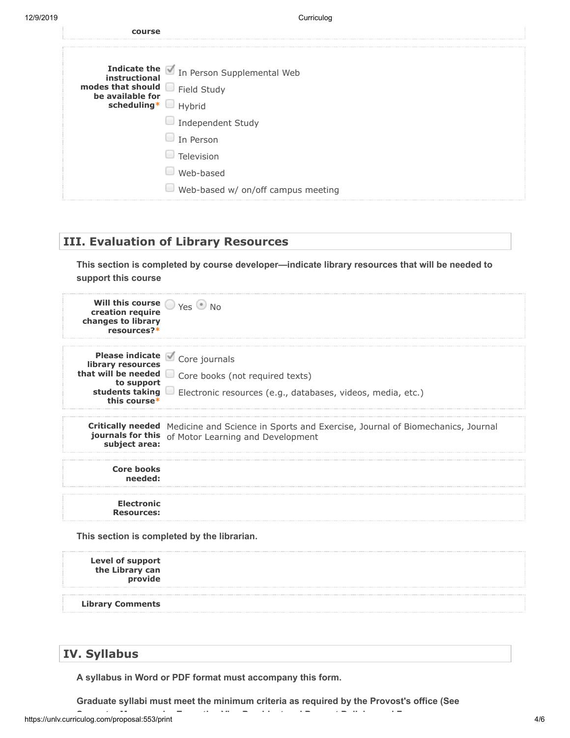| Indicate the <i>In Person Supplemental Web</i><br>instructional<br>modes that should Field Study | course |  |
|--------------------------------------------------------------------------------------------------|--------|--|
|                                                                                                  |        |  |
|                                                                                                  |        |  |
| be available for                                                                                 |        |  |
| scheduling*<br>$\Box$ Hybrid                                                                     |        |  |
| $\Box$ Independent Study                                                                         |        |  |
| $\Box$ In Person                                                                                 |        |  |
| Television                                                                                       |        |  |
| Web-based                                                                                        |        |  |
| $\Box$ Web-based w/ on/off campus meeting                                                        |        |  |

## **III. Evaluation of Library Resources**

**This section is completed by course developer—indicate library resources that will be needed to support this course**

| Will this course $\bigcirc$ Yes $\bigcirc$ No<br>creation require<br>changes to library<br>resources?* |                                                                                                                                                                     |
|--------------------------------------------------------------------------------------------------------|---------------------------------------------------------------------------------------------------------------------------------------------------------------------|
| library resources<br>to support<br>this course*                                                        | Please indicate Core journals<br>that will be needed core books (not required texts)<br>students taking Electronic resources (e.g., databases, videos, media, etc.) |
| subject area:                                                                                          | <b>Critically needed</b> Medicine and Science in Sports and Exercise, Journal of Biomechanics, Journal<br>journals for this of Motor Learning and Development       |
| <b>Core books</b><br>needed:                                                                           |                                                                                                                                                                     |
| <b>Electronic</b><br><b>Resources:</b>                                                                 |                                                                                                                                                                     |
|                                                                                                        | This section is completed by the librarian.                                                                                                                         |

| Level of support<br>the Library can<br>provide |  |
|------------------------------------------------|--|
| <b>Library Comments</b>                        |  |

# **IV. Syllabus**

**A syllabus in Word or PDF format must accompany this form.**

**Graduate syllabi must meet the minimum criteria as required by the Provost's office (See**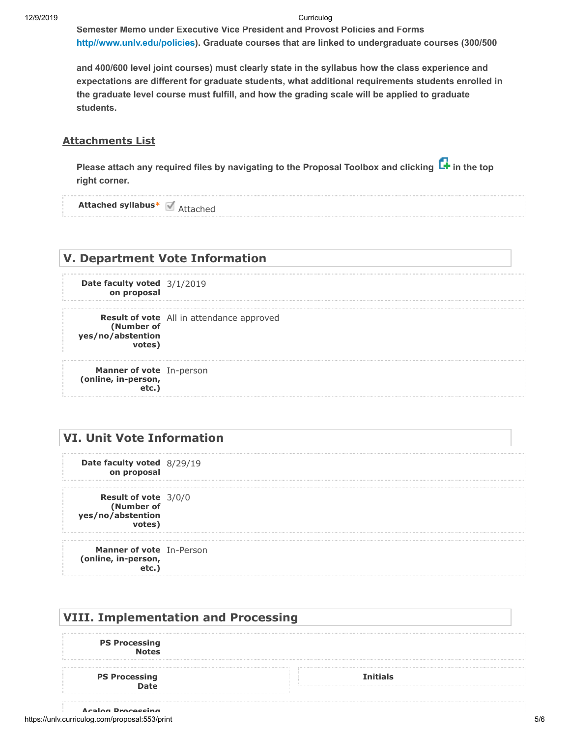#### 12/9/2019 Curriculog

**Semester Memo under Executive Vice President and Provost Policies and Forms** <u>[http//www.unlv.edu/policies](http://http//www.unlv.edu/policies)</u>). Graduate courses that are linked to undergraduate courses (300/500

**and 400/600 level joint courses) must clearly state in the syllabus how the class experience and expectations are different for graduate students, what additional requirements students enrolled in the graduate level course must fulfill, and how the grading scale will be applied to graduate students.**

#### **Attachments List**

Please attach any required files by navigating to the Proposal Toolbox and clicking **L+** in the top **right corner.**

**Attached syllabus\*** Attached

### **V. Department Vote Information**

**Date faculty voted** 3/1/2019 **on proposal**

**Result of vote** All in attendance approved **(Number of yes/no/abstention votes)**

**Manner of vote** In-person **(online, in-person, etc.)**

### **VI. Unit Vote Information**

**Date faculty voted** 8/29/19 **on proposal**

**Result of vote** 3/0/0 **(Number of yes/no/abstention votes)**

**Manner of vote** In-Person **(online, in-person, etc.)**

| <b>VIII. Implementation and Processing</b> |                 |  |
|--------------------------------------------|-----------------|--|
| <b>PS Processing</b><br><b>Notes</b>       |                 |  |
| <b>PS Processing</b>                       | <b>Tnitiale</b> |  |